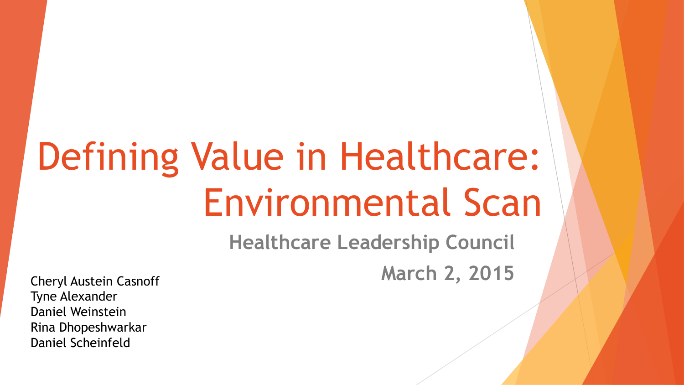# Defining Value in Healthcare: Environmental Scan

**Healthcare Leadership Council** Cheryl Austein Casnoff **March 2, 2015** 

Tyne Alexander Daniel Weinstein Rina Dhopeshwarkar Daniel Scheinfeld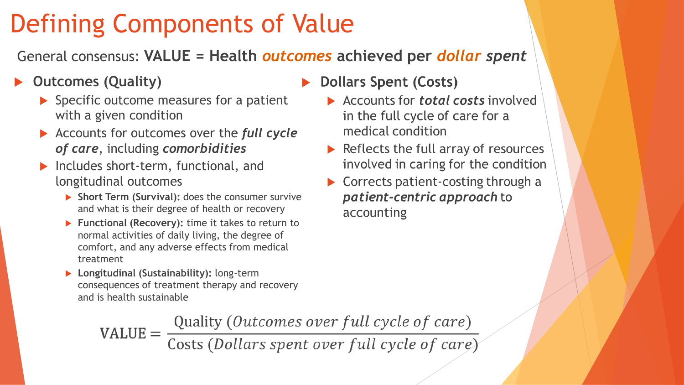# Defining Components of Value

General consensus: **VALUE = Health** *outcomes* **achieved per** *dollar spent*

### **Outcomes (Quality)**

- $\blacktriangleright$  Specific outcome measures for a patient with a given condition
- Accounts for outcomes over the *full cycle of care*, including *comorbidities*
- Includes short-term, functional, and longitudinal outcomes
	- **Short Term (Survival): does the consumer survive** and what is their degree of health or recovery
	- **Functional (Recovery):** time it takes to return to normal activities of daily living, the degree of comfort, and any adverse effects from medical treatment
	- **Longitudinal (Sustainability):** long-term consequences of treatment therapy and recovery and is health sustainable
- Dollars Spent (Costs)
	- Accounts for *total costs* involved in the full cycle of care for a medical condition
	- $\triangleright$  Reflects the full array of resources involved in caring for the condition
	- $\triangleright$  Corrects patient-costing through a patient-centric approach to accounting

 $\text{VALUE} = \frac{\text{Quality} (Outcomes over full cycle of care)}{\text{Costs} (Dollars spent over full cycle of care)}$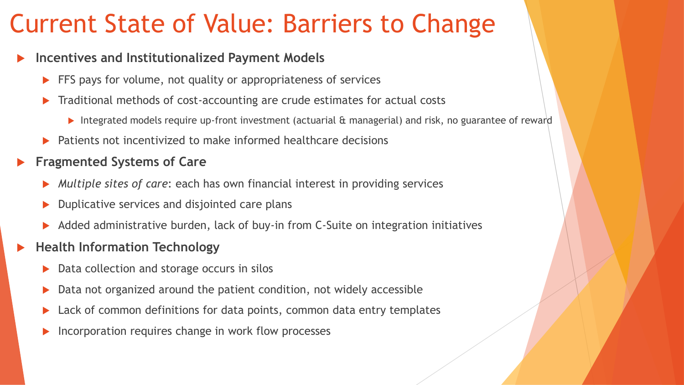## Current State of Value: Barriers to Change

#### **Incentives and Institutionalized Payment Models**

- FFS pays for volume, not quality or appropriateness of services
- Traditional methods of cost-accounting are crude estimates for actual costs
	- Integrated models require up-front investment (actuarial & managerial) and risk, no guarantee of reward
- Patients not incentivized to make informed healthcare decisions
- **Fragmented Systems of Care**
	- *Multiple sites of care*: each has own financial interest in providing services
	- Duplicative services and disjointed care plans
	- Added administrative burden, lack of buy-in from C-Suite on integration initiatives
- **Health Information Technology**
	- Data collection and storage occurs in silos
	- Data not organized around the patient condition, not widely accessible
	- Lack of common definitions for data points, common data entry templates
	- Incorporation requires change in work flow processes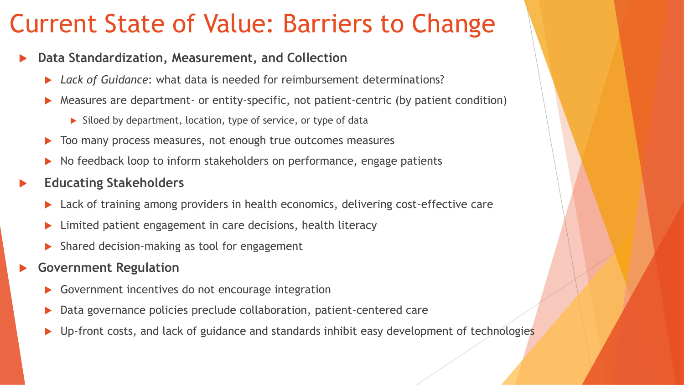## Current State of Value: Barriers to Change

#### **Data Standardization, Measurement, and Collection**

- *Lack of Guidance*: what data is needed for reimbursement determinations?
- Measures are department- or entity-specific, not patient-centric (by patient condition)
	- $\triangleright$  Siloed by department, location, type of service, or type of data
- Too many process measures, not enough true outcomes measures
- No feedback loop to inform stakeholders on performance, engage patients
- **Educating Stakeholders**
	- Lack of training among providers in health economics, delivering cost-effective care
	- Limited patient engagement in care decisions, health literacy
	- Shared decision-making as tool for engagement
- **Government Regulation**
	- Government incentives do not encourage integration
	- Data governance policies preclude collaboration, patient-centered care
	- Up-front costs, and lack of guidance and standards inhibit easy development of technologies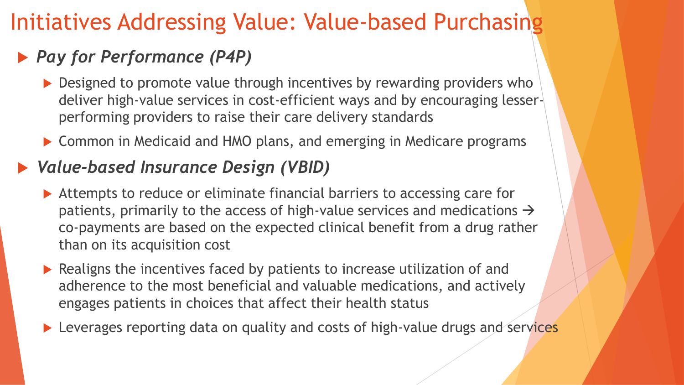## Initiatives Addressing Value: Value-based Purchasing

## *Pay for Performance (P4P)*

- ▶ Designed to promote value through incentives by rewarding providers who deliver high-value services in cost-efficient ways and by encouraging lesserperforming providers to raise their care delivery standards
- ▶ Common in Medicaid and HMO plans, and emerging in Medicare programs

## *Value-based Insurance Design (VBID)*

- ▶ Attempts to reduce or eliminate financial barriers to accessing care for patients, primarily to the access of high-value services and medications  $\rightarrow$ co-payments are based on the expected clinical benefit from a drug rather than on its acquisition cost
- ▶ Realigns the incentives faced by patients to increase utilization of and adherence to the most beneficial and valuable medications, and actively engages patients in choices that affect their health status
- **Leverages reporting data on quality and costs of high-value drugs and services**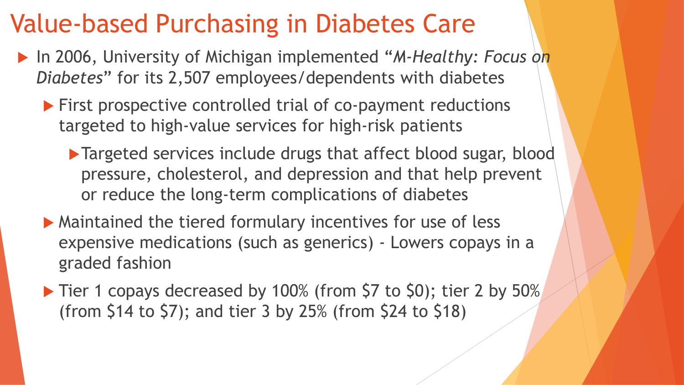## Value-based Purchasing in Diabetes Care

- ▶ In 2006, University of Michigan implemented "*M-Healthy: Focus on Diabetes*" for its 2,507 employees/dependents with diabetes
	- ▶ First prospective controlled trial of co-payment reductions targeted to high-value services for high-risk patients
		- ▶ Targeted services include drugs that affect blood sugar, blood pressure, cholesterol, and depression and that help prevent or reduce the long-term complications of diabetes
	- Maintained the tiered formulary incentives for use of less expensive medications (such as generics) - Lowers copays in a graded fashion
	- ▶ Tier 1 copays decreased by 100% (from \$7 to \$0); tier 2 by 50% (from \$14 to \$7); and tier 3 by 25% (from \$24 to \$18)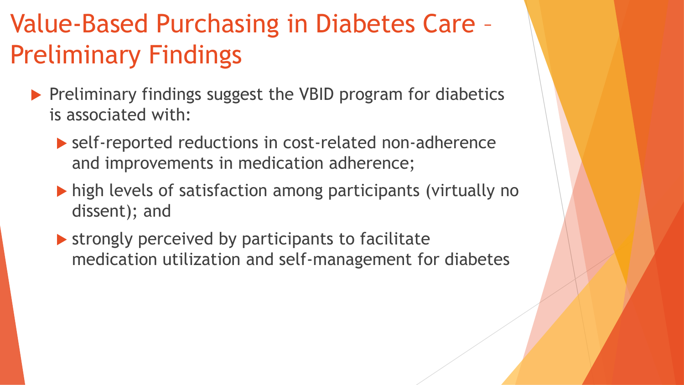# Value-Based Purchasing in Diabetes Care – Preliminary Findings

- $\blacktriangleright$  Preliminary findings suggest the VBID program for diabetics is associated with:
	- ▶ self-reported reductions in cost-related non-adherence and improvements in medication adherence;
	- high levels of satisfaction among participants (virtually no dissent); and
	- $\blacktriangleright$  strongly perceived by participants to facilitate medication utilization and self-management for diabetes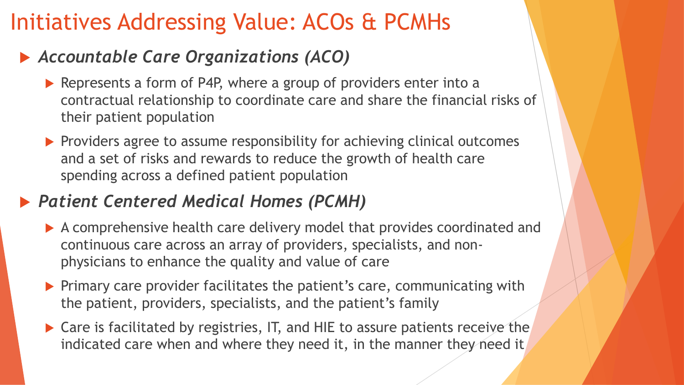## Initiatives Addressing Value: ACOs & PCMHs

## *Accountable Care Organizations (ACO)*

- Represents a form of P4P, where a group of providers enter into a contractual relationship to coordinate care and share the financial risks of their patient population
- $\blacktriangleright$  Providers agree to assume responsibility for achieving clinical outcomes and a set of risks and rewards to reduce the growth of health care spending across a defined patient population

## *Patient Centered Medical Homes (PCMH)*

- A comprehensive health care delivery model that provides coordinated and continuous care across an array of providers, specialists, and nonphysicians to enhance the quality and value of care
- $\blacktriangleright$  Primary care provider facilitates the patient's care, communicating with the patient, providers, specialists, and the patient's family
- ▶ Care is facilitated by registries, IT, and HIE to assure patients receive the indicated care when and where they need it, in the manner they need it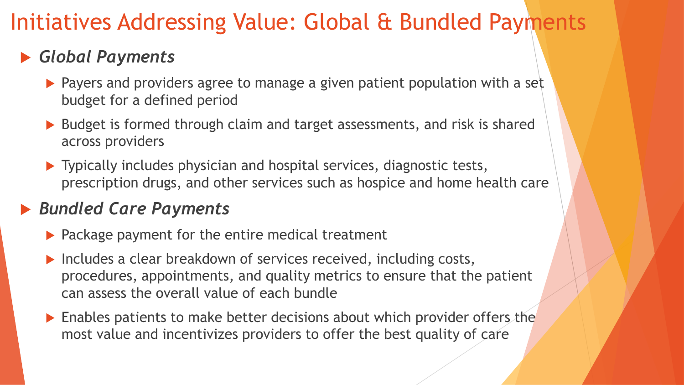## Initiatives Addressing Value: Global & Bundled Payments

## *Global Payments*

- **Payers and providers agree to manage a given patient population with a set** budget for a defined period
- ▶ Budget is formed through claim and target assessments, and risk is shared across providers
- ▶ Typically includes physician and hospital services, diagnostic tests, prescription drugs, and other services such as hospice and home health care

## *Bundled Care Payments*

- $\blacktriangleright$  Package payment for the entire medical treatment
- Includes a clear breakdown of services received, including costs, procedures, appointments, and quality metrics to ensure that the patient can assess the overall value of each bundle
- **Enables patients to make better decisions about which provider offers the** most value and incentivizes providers to offer the best quality of care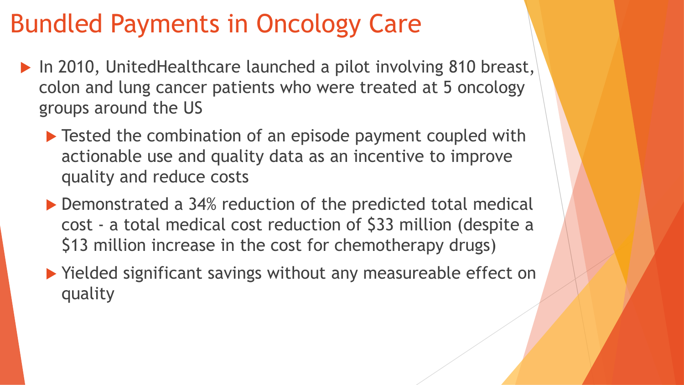# Bundled Payments in Oncology Care

- ▶ In 2010, UnitedHealthcare launched a pilot involving 810 breast, colon and lung cancer patients who were treated at 5 oncology groups around the US
	- ▶ Tested the combination of an episode payment coupled with actionable use and quality data as an incentive to improve quality and reduce costs
	- ▶ Demonstrated a 34% reduction of the predicted total medical cost - a total medical cost reduction of \$33 million (despite a \$13 million increase in the cost for chemotherapy drugs)
	- ▶ Yielded significant savings without any measureable effect on quality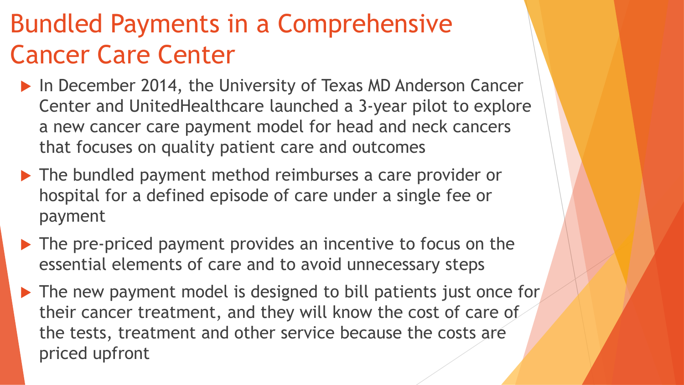# Bundled Payments in a Comprehensive Cancer Care Center

- ▶ In December 2014, the University of Texas MD Anderson Cancer Center and UnitedHealthcare launched a 3-year pilot to explore a new cancer care payment model for head and neck cancers that focuses on quality patient care and outcomes
- ▶ The bundled payment method reimburses a care provider or hospital for a defined episode of care under a single fee or payment
- ▶ The pre-priced payment provides an incentive to focus on the essential elements of care and to avoid unnecessary steps
- ▶ The new payment model is designed to bill patients just once for their cancer treatment, and they will know the cost of care of the tests, treatment and other service because the costs are priced upfront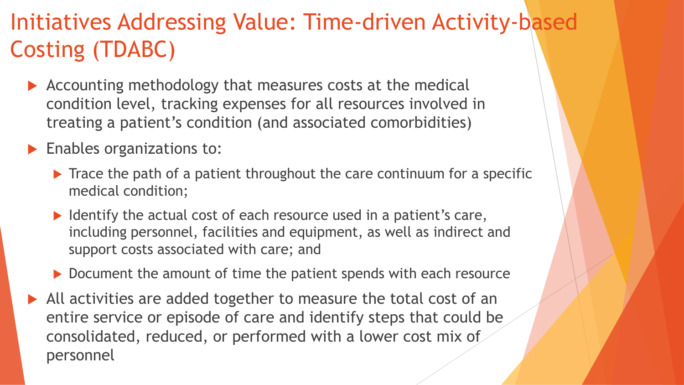## Initiatives Addressing Value: Time-driven Activity-based Costing (TDABC)

- Accounting methodology that measures costs at the medical condition level, tracking expenses for all resources involved in treating a patient's condition (and associated comorbidities)
- **Enables organizations to:** 
	- $\blacktriangleright$  Trace the path of a patient throughout the care continuum for a specific medical condition;
	- $\blacktriangleright$  Identify the actual cost of each resource used in a patient's care, including personnel, facilities and equipment, as well as indirect and support costs associated with care; and
	- ▶ Document the amount of time the patient spends with each resource
- All activities are added together to measure the total cost of an entire service or episode of care and identify steps that could be consolidated, reduced, or performed with a lower cost mix of personnel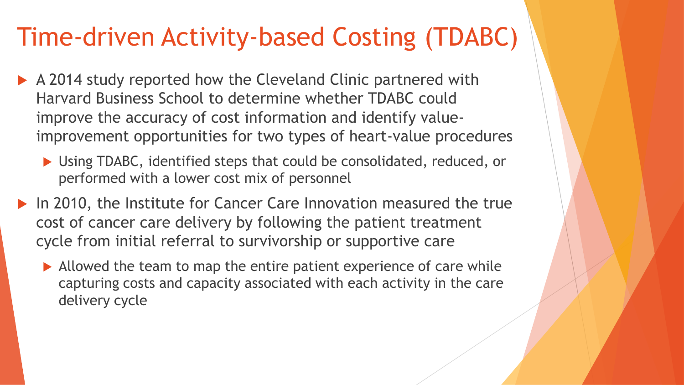# Time-driven Activity-based Costing (TDABC)

- A 2014 study reported how the Cleveland Clinic partnered with Harvard Business School to determine whether TDABC could improve the accuracy of cost information and identify valueimprovement opportunities for two types of heart-value procedures
	- ▶ Using TDABC, identified steps that could be consolidated, reduced, or performed with a lower cost mix of personnel
- ▶ In 2010, the Institute for Cancer Care Innovation measured the true cost of cancer care delivery by following the patient treatment cycle from initial referral to survivorship or supportive care
	- Allowed the team to map the entire patient experience of care while capturing costs and capacity associated with each activity in the care delivery cycle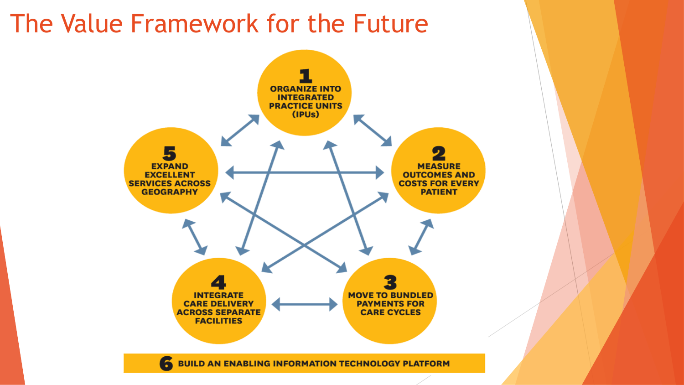## The Value Framework for the Future

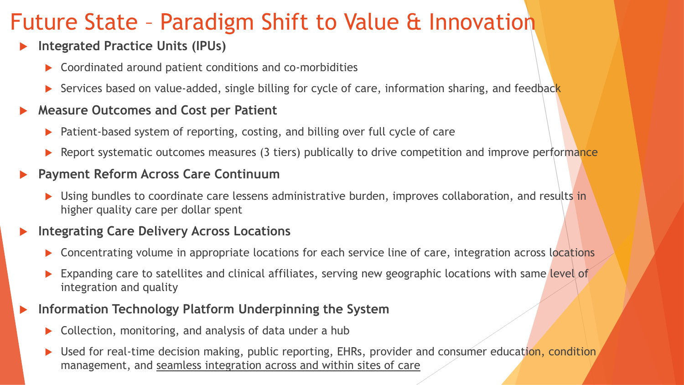## Future State – Paradigm Shift to Value & Innovation

#### **Integrated Practice Units (IPUs)**

- ▶ Coordinated around patient conditions and co-morbidities
- Services based on value-added, single billing for cycle of care, information sharing, and feedback

#### **Measure Outcomes and Cost per Patient**

- Patient-based system of reporting, costing, and billing over full cycle of care
- Report systematic outcomes measures (3 tiers) publically to drive competition and improve performance

#### **Payment Reform Across Care Continuum**

**Demogler 3 Septem** bundles to coordinate care lessens administrative burden, improves collaboration, and results in higher quality care per dollar spent

#### **Integrating Care Delivery Across Locations**

- Concentrating volume in appropriate locations for each service line of care, integration across locations
- Expanding care to satellites and clinical affiliates, serving new geographic locations with same level of integration and quality

#### **Information Technology Platform Underpinning the System**

- Collection, monitoring, and analysis of data under a hub
- Used for real-time decision making, public reporting, EHRs, provider and consumer education, condition, management, and seamless integration across and within sites of care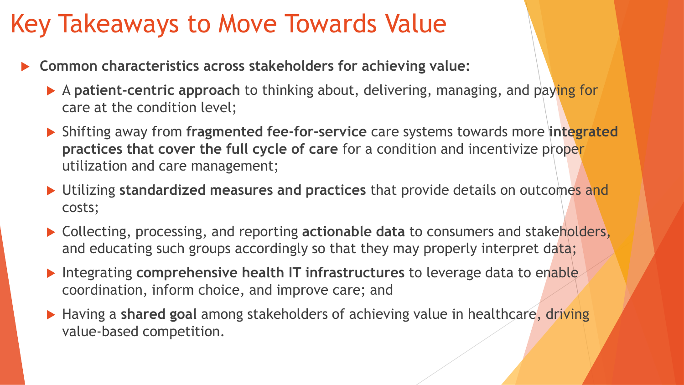## Key Takeaways to Move Towards Value

- **Common characteristics across stakeholders for achieving value:**
	- A **patient-centric approach** to thinking about, delivering, managing, and paying for care at the condition level;
	- Shifting away from **fragmented fee-for-service** care systems towards more **integrated practices that cover the full cycle of care** for a condition and incentivize proper utilization and care management;
	- Utilizing **standardized measures and practices** that provide details on outcomes and costs;
	- ▶ Collecting, processing, and reporting **actionable data** to consumers and stakeholders, and educating such groups accordingly so that they may properly interpret data;
	- Integrating **comprehensive health IT infrastructures** to leverage data to enable coordination, inform choice, and improve care; and
	- Having a **shared goal** among stakeholders of achieving value in healthcare, driving value-based competition.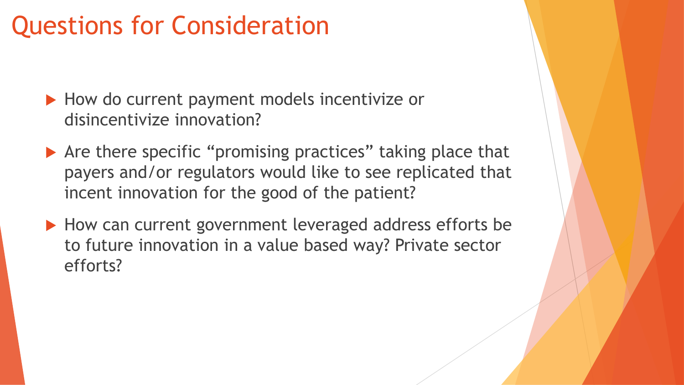# Questions for Consideration

- How do current payment models incentivize or disincentivize innovation?
- ▶ Are there specific "promising practices" taking place that payers and/or regulators would like to see replicated that incent innovation for the good of the patient?
- How can current government leveraged address efforts be to future innovation in a value based way? Private sector efforts?